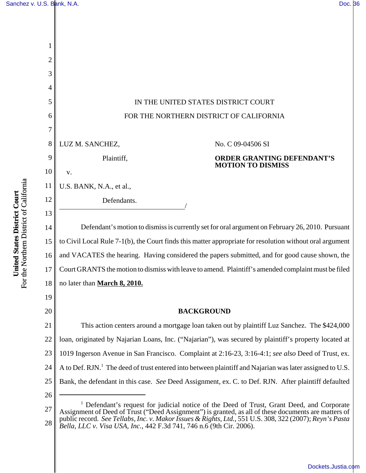

*Bella, LLC v. Visa USA, Inc.*, 442 F.3d 741, 746 n.6 (9th Cir. 2006).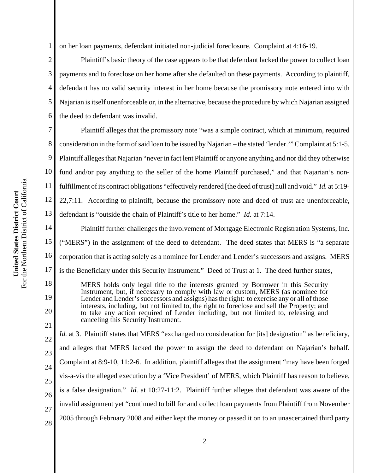1 on her loan payments, defendant initiated non-judicial foreclosure. Complaint at 4:16-19.

2 3 4 5 6 Plaintiff's basic theory of the case appears to be that defendant lacked the power to collect loan payments and to foreclose on her home after she defaulted on these payments. According to plaintiff, defendant has no valid security interest in her home because the promissory note entered into with Najarian is itself unenforceable or, in the alternative, because the procedure by which Najarian assigned the deed to defendant was invalid.

7 8 9 10 11 12 13 Plaintiff alleges that the promissory note "was a simple contract, which at minimum, required consideration in the form of said loan to be issued by Najarian – the stated 'lender.'" Complaint at 5:1-5. Plaintiff alleges that Najarian "never in fact lent Plaintiff or anyone anything and nor did they otherwise fund and/or pay anything to the seller of the home Plaintiff purchased," and that Najarian's nonfulfillment of its contract obligations "effectively rendered [the deed of trust] null and void." *Id.* at 5:19- 22,7:11. According to plaintiff, because the promissory note and deed of trust are unenforceable, defendant is "outside the chain of Plaintiff's title to her home." *Id.* at 7:14.

14 15 16 17 Plaintiff further challenges the involvement of Mortgage Electronic Registration Systems, Inc. ("MERS") in the assignment of the deed to defendant. The deed states that MERS is "a separate corporation that is acting solely as a nominee for Lender and Lender's successors and assigns. MERS is the Beneficiary under this Security Instrument." Deed of Trust at 1. The deed further states,

MERS holds only legal title to the interests granted by Borrower in this Security Instrument, but, if necessary to comply with law or custom, MERS (as nominee for Lender and Lender's successors and assigns) has the right: to exercise any or all of those interests, including, but not limited to, the right to foreclose and sell the Property; and to take any action required of Lender including, but not limited to, releasing and canceling this Security Instrument.

22 23 24 25 26 27 28 *Id.* at 3. Plaintiff states that MERS "exchanged no consideration for [its] designation" as beneficiary, and alleges that MERS lacked the power to assign the deed to defendant on Najarian's behalf. Complaint at 8:9-10, 11:2-6. In addition, plaintiff alleges that the assignment "may have been forged vis-a-vis the alleged execution by a 'Vice President' of MERS, which Plaintiff has reason to believe, is a false designation." *Id.* at 10:27-11:2. Plaintiff further alleges that defendant was aware of the invalid assignment yet "continued to bill for and collect loan payments from Plaintiff from November 2005 through February 2008 and either kept the money or passed it on to an unascertained third party

18

19

20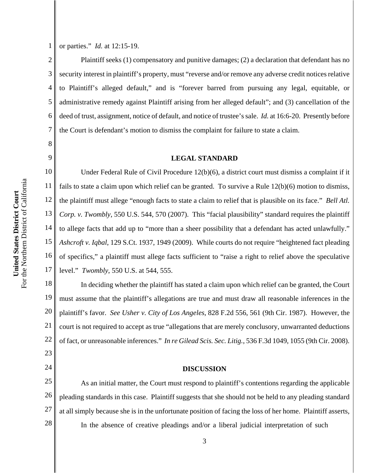For the Northern District of California For the Northern District of California United States District Court **United States District Court**

8

9

23

24

1 or parties." *Id.* at 12:15-19.

2 3 4 5 6 7 Plaintiff seeks (1) compensatory and punitive damages; (2) a declaration that defendant has no security interest in plaintiff's property, must "reverse and/or remove any adverse credit notices relative to Plaintiff's alleged default," and is "forever barred from pursuing any legal, equitable, or administrative remedy against Plaintiff arising from her alleged default"; and (3) cancellation of the deed of trust, assignment, notice of default, and notice of trustee's sale. *Id.* at 16:6-20. Presently before the Court is defendant's motion to dismiss the complaint for failure to state a claim.

### **LEGAL STANDARD**

10 11 12 13 14 15 16 17 Under Federal Rule of Civil Procedure 12(b)(6), a district court must dismiss a complaint if it fails to state a claim upon which relief can be granted. To survive a Rule 12(b)(6) motion to dismiss, the plaintiff must allege "enough facts to state a claim to relief that is plausible on its face." *Bell Atl. Corp. v. Twombly*, 550 U.S. 544, 570 (2007). This "facial plausibility" standard requires the plaintiff to allege facts that add up to "more than a sheer possibility that a defendant has acted unlawfully." *Ashcroft v. Iqbal*, 129 S.Ct. 1937, 1949 (2009). While courts do not require "heightened fact pleading of specifics," a plaintiff must allege facts sufficient to "raise a right to relief above the speculative level." *Twombly*, 550 U.S. at 544, 555.

18 19 20 21 22 In deciding whether the plaintiff has stated a claim upon which relief can be granted, the Court must assume that the plaintiff's allegations are true and must draw all reasonable inferences in the plaintiff's favor. *See Usher v. City of Los Angeles*, 828 F.2d 556, 561 (9th Cir. 1987). However, the court is not required to accept as true "allegations that are merely conclusory, unwarranted deductions of fact, or unreasonable inferences." *In re Gilead Scis. Sec. Litig.*, 536 F.3d 1049, 1055 (9th Cir. 2008).

#### **DISCUSSION**

25 26 27 28 As an initial matter, the Court must respond to plaintiff's contentions regarding the applicable pleading standards in this case. Plaintiff suggests that she should not be held to any pleading standard at all simply because she is in the unfortunate position of facing the loss of her home. Plaintiff asserts, In the absence of creative pleadings and/or a liberal judicial interpretation of such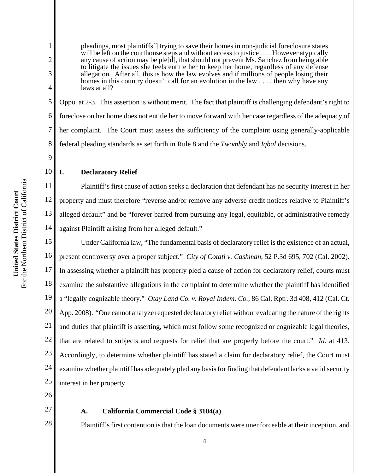pleadings, most plaintiffs[] trying to save their homes in non-judicial foreclosure states will be left on the courthouse steps and without access to justice . . . . However atypically any cause of action may be ple[d], that should not prevent Ms. Sanchez from being able to litigate the issues she feels entitle her to keep her home, regardless of any defense allegation. After all, this is how the law evolves and if millions of people losing their homes in this country doesn't call for an evolution in the law  $\dots$ , then why have any laws at all?

Oppo. at 2-3. This assertion is without merit. The fact that plaintiff is challenging defendant's right to foreclose on her home does not entitle her to move forward with her case regardless of the adequacy of her complaint. The Court must assess the sufficiency of the complaint using generally-applicable federal pleading standards as set forth in Rule 8 and the *Twombly* and *Iqbal* decisions.

9 10

11

12

13

14

1

2

3

4

5

6

7

8

# **I. Declaratory Relief**

Plaintiff's first cause of action seeks a declaration that defendant has no security interest in her property and must therefore "reverse and/or remove any adverse credit notices relative to Plaintiff's alleged default" and be "forever barred from pursuing any legal, equitable, or administrative remedy against Plaintiff arising from her alleged default."

15 16 17 18 19 20 21 22 23 24 25 Under California law, "The fundamental basis of declaratory relief is the existence of an actual, present controversy over a proper subject." *City of Cotati v. Cashman*, 52 P.3d 695, 702 (Cal. 2002). In assessing whether a plaintiff has properly pled a cause of action for declaratory relief, courts must examine the substantive allegations in the complaint to determine whether the plaintiff has identified a "legally cognizable theory." *Otay Land Co. v. Royal Indem. Co.*, 86 Cal. Rptr. 3d 408, 412 (Cal. Ct. App. 2008). "One cannot analyze requested declaratory relief without evaluating the nature of the rights and duties that plaintiff is asserting, which must follow some recognized or cognizable legal theories, that are related to subjects and requests for relief that are properly before the court." *Id.* at 413. Accordingly, to determine whether plaintiff has stated a claim for declaratory relief, the Court must examine whether plaintiff has adequately pled any basis for finding that defendant lacks a valid security interest in her property.

- 26
- 27

28

# **A. California Commercial Code § 3104(a)**

Plaintiff's first contention is that the loan documents were unenforceable at their inception, and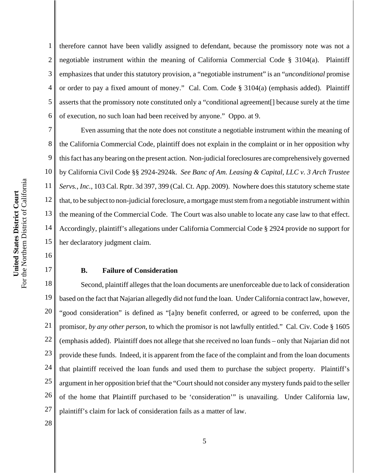16

17

1 2 3 4 5 6 therefore cannot have been validly assigned to defendant, because the promissory note was not a negotiable instrument within the meaning of California Commercial Code  $\S$  3104(a). Plaintiff emphasizes that under this statutory provision, a "negotiable instrument" is an "*unconditional* promise or order to pay a fixed amount of money." Cal. Com. Code § 3104(a) (emphasis added). Plaintiff asserts that the promissory note constituted only a "conditional agreement[] because surely at the time of execution, no such loan had been received by anyone." Oppo. at 9.

7 8 9 10 11 12 13 14 15 Even assuming that the note does not constitute a negotiable instrument within the meaning of the California Commercial Code, plaintiff does not explain in the complaint or in her opposition why this fact has any bearing on the present action. Non-judicial foreclosures are comprehensively governed by California Civil Code §§ 2924-2924k. *See Banc of Am. Leasing & Capital, LLC v. 3 Arch Trustee Servs., Inc.*, 103 Cal. Rptr. 3d 397, 399 (Cal. Ct. App. 2009). Nowhere does this statutory scheme state that, to be subject to non-judicial foreclosure, a mortgage must stem from a negotiable instrument within the meaning of the Commercial Code. The Court was also unable to locate any case law to that effect. Accordingly, plaintiff's allegations under California Commercial Code § 2924 provide no support for her declaratory judgment claim.

### **B. Failure of Consideration**

18 19 20 21 22 23 24 25 26 27 Second, plaintiff alleges that the loan documents are unenforceable due to lack of consideration based on the fact that Najarian allegedly did not fund the loan. Under California contract law, however, "good consideration" is defined as "[a]ny benefit conferred, or agreed to be conferred, upon the promisor, *by any other person*, to which the promisor is not lawfully entitled." Cal. Civ. Code § 1605 (emphasis added). Plaintiff does not allege that she received no loan funds – only that Najarian did not provide these funds. Indeed, it is apparent from the face of the complaint and from the loan documents that plaintiff received the loan funds and used them to purchase the subject property. Plaintiff's argument in her opposition brief that the "Court should not consider any mystery funds paid to the seller of the home that Plaintiff purchased to be 'consideration'" is unavailing. Under California law, plaintiff's claim for lack of consideration fails as a matter of law.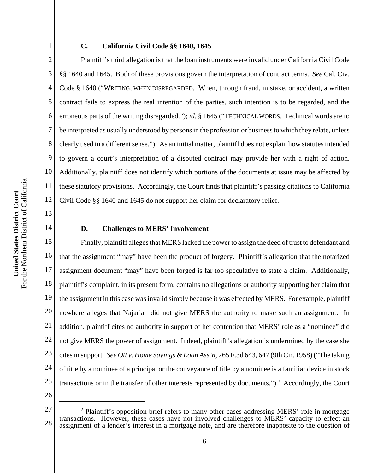# 1 2

3

4

5

6

7

8

9

10

11

12

13

14

#### **C. California Civil Code §§ 1640, 1645**

Plaintiff's third allegation is that the loan instruments were invalid under California Civil Code §§ 1640 and 1645. Both of these provisions govern the interpretation of contract terms. *See* Cal. Civ. Code § 1640 ("WRITING, WHEN DISREGARDED. When, through fraud, mistake, or accident, a written contract fails to express the real intention of the parties, such intention is to be regarded, and the erroneous parts of the writing disregarded."); *id.* § 1645 ("TECHNICAL WORDS. Technical words are to be interpreted as usually understood by persons in the profession or business to which they relate, unless clearly used in a different sense."). As an initial matter, plaintiff does not explain how statutes intended to govern a court's interpretation of a disputed contract may provide her with a right of action. Additionally, plaintiff does not identify which portions of the documents at issue may be affected by these statutory provisions. Accordingly, the Court finds that plaintiff's passing citations to California Civil Code §§ 1640 and 1645 do not support her claim for declaratory relief.

### **D. Challenges to MERS' Involvement**

15 16 17 18 19 20 21 22 23 24 25 Finally, plaintiff alleges that MERS lacked the power to assign the deed of trust to defendant and that the assignment "may" have been the product of forgery. Plaintiff's allegation that the notarized assignment document "may" have been forged is far too speculative to state a claim. Additionally, plaintiff's complaint, in its present form, contains no allegations or authority supporting her claim that the assignment in this case was invalid simply because it was effected by MERS. For example, plaintiff nowhere alleges that Najarian did not give MERS the authority to make such an assignment. In addition, plaintiff cites no authority in support of her contention that MERS' role as a "nominee" did not give MERS the power of assignment. Indeed, plaintiff's allegation is undermined by the case she cites in support. *See Ott v. Home Savings & Loan Ass'n*, 265 F.3d 643, 647 (9th Cir. 1958) ("The taking of title by a nominee of a principal or the conveyance of title by a nominee is a familiar device in stock transactions or in the transfer of other interests represented by documents.").<sup>2</sup> Accordingly, the Court

<sup>27</sup> 28 <sup>2</sup> Plaintiff's opposition brief refers to many other cases addressing MERS' role in mortgage transactions. However, these cases have not involved challenges to MERS' capacity to effect an assignment of a lender's interest in a mortgage note, and are therefore inapposite to the question of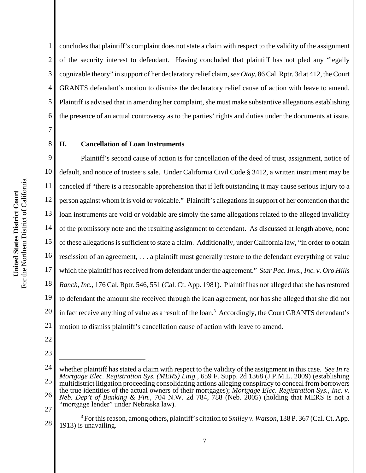1 2 3 4 5 6 concludes that plaintiff's complaint does not state a claim with respect to the validity of the assignment of the security interest to defendant. Having concluded that plaintiff has not pled any "legally cognizable theory" in support of her declaratory relief claim, *see Otay*, 86 Cal. Rptr. 3d at 412, the Court GRANTS defendant's motion to dismiss the declaratory relief cause of action with leave to amend. Plaintiff is advised that in amending her complaint, she must make substantive allegations establishing the presence of an actual controversy as to the parties' rights and duties under the documents at issue.

7 8

# **II. Cancellation of Loan Instruments**

9 10 11 12 13 14 15 16 17 18 19 20 21 Plaintiff's second cause of action is for cancellation of the deed of trust, assignment, notice of default, and notice of trustee's sale. Under California Civil Code § 3412, a written instrument may be canceled if "there is a reasonable apprehension that if left outstanding it may cause serious injury to a person against whom it is void or voidable." Plaintiff's allegations in support of her contention that the loan instruments are void or voidable are simply the same allegations related to the alleged invalidity of the promissory note and the resulting assignment to defendant. As discussed at length above, none of these allegations is sufficient to state a claim. Additionally, under California law, "in order to obtain rescission of an agreement, . . . a plaintiff must generally restore to the defendant everything of value which the plaintiff has received from defendant under the agreement." *Star Pac. Invs., Inc. v. Oro Hills Ranch, Inc.*, 176 Cal. Rptr. 546, 551 (Cal. Ct. App. 1981). Plaintiff has not alleged that she has restored to defendant the amount she received through the loan agreement, nor has she alleged that she did not in fact receive anything of value as a result of the loan.<sup>3</sup> Accordingly, the Court GRANTS defendant's motion to dismiss plaintiff's cancellation cause of action with leave to amend.

22

<sup>24</sup> 25 26 27 whether plaintiff has stated a claim with respect to the validity of the assignment in this case. *See In re Mortgage Elec. Registration Sys. (MERS) Litig.*, 659 F. Supp. 2d 1368 (J.P.M.L. 2009) (establishing multidistrict litigation proceeding consolidating actions alleging conspiracy to conceal from borrowers the true identities of the actual owners of their mortgages); *Mortgage Elec. Registration Sys., Inc. v. Neb. Dep't of Banking & Fin.*, 704 N.W. 2d 784, 788 (Neb. 2005) (holding that MERS is not a "mortgage lender" under Nebraska law).

<sup>28</sup> 3 For this reason, among others, plaintiff's citation to *Smiley v. Watson*, 138 P. 367 (Cal. Ct. App. 1913) is unavailing.